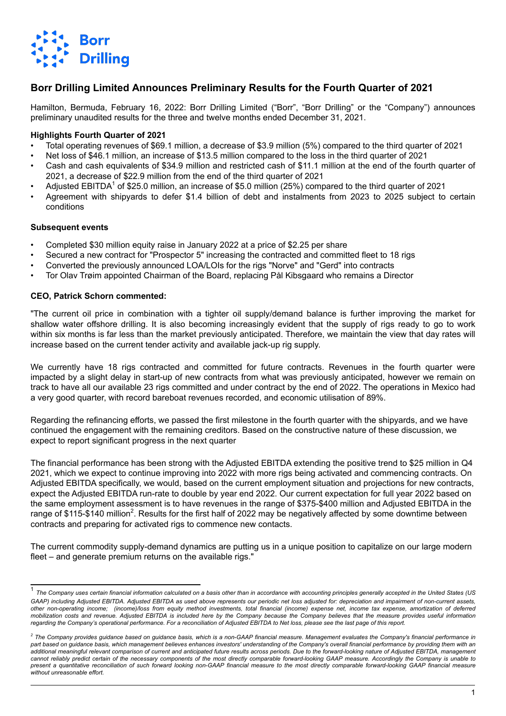

## **Borr Drilling Limited Announces Preliminary Results for the Fourth Quarter of 2021**

Hamilton, Bermuda, February 16, 2022: Borr Drilling Limited ("Borr", "Borr Drilling" or the "Company") announces preliminary unaudited results for the three and twelve months ended December 31, 2021.

#### **Highlights Fourth Quarter of 2021**

- Total operating revenues of \$69.1 million, a decrease of \$3.9 million (5%) compared to the third quarter of 2021
- Net loss of \$46.1 million, an increase of \$13.5 million compared to the loss in the third quarter of 2021
- Cash and cash equivalents of \$34.9 million and restricted cash of \$11.1 million at the end of the fourth quarter of 2021, a decrease of \$22.9 million from the end of the third quarter of 2021
- Adjusted EBITDA<sup>1</sup> of \$25.0 million, an increase of \$5.0 million (25%) compared to the third quarter of 2021
- Agreement with shipyards to defer \$1.4 billion of debt and instalments from 2023 to 2025 subject to certain conditions

#### **Subsequent events**

- Completed \$30 million equity raise in January 2022 at a price of \$2.25 per share
- Secured a new contract for "Prospector 5" increasing the contracted and committed fleet to 18 rigs
- Converted the previously announced LOA/LOIs for the rigs "Norve" and "Gerd" into contracts
- Tor Olav Trøim appointed Chairman of the Board, replacing Pål Kibsgaard who remains a Director

#### **CEO, Patrick Schorn commented:**

"The current oil price in combination with a tighter oil supply/demand balance is further improving the market for shallow water offshore drilling. It is also becoming increasingly evident that the supply of rigs ready to go to work within six months is far less than the market previously anticipated. Therefore, we maintain the view that day rates will increase based on the current tender activity and available jack-up rig supply.

We currently have 18 rigs contracted and committed for future contracts. Revenues in the fourth quarter were impacted by a slight delay in start-up of new contracts from what was previously anticipated, however we remain on track to have all our available 23 rigs committed and under contract by the end of 2022. The operations in Mexico had a very good quarter, with record bareboat revenues recorded, and economic utilisation of 89%.

Regarding the refinancing efforts, we passed the first milestone in the fourth quarter with the shipyards, and we have continued the engagement with the remaining creditors. Based on the constructive nature of these discussion, we expect to report significant progress in the next quarter

The financial performance has been strong with the Adjusted EBITDA extending the positive trend to \$25 million in Q4 2021, which we expect to continue improving into 2022 with more rigs being activated and commencing contracts. On Adjusted EBITDA specifically, we would, based on the current employment situation and projections for new contracts, expect the Adjusted EBITDA run-rate to double by year end 2022. Our current expectation for full year 2022 based on the same employment assessment is to have revenues in the range of \$375-\$400 million and Adjusted EBITDA in the range of \$115-\$140 million<sup>2</sup>. Results for the first half of 2022 may be negatively affected by some downtime between contracts and preparing for activated rigs to commence new contacts.

The current commodity supply-demand dynamics are putting us in a unique position to capitalize on our large modern fleet – and generate premium returns on the available rigs."

<sup>&</sup>lt;sup>1</sup> The Company uses certain financial information calculated on a basis other than in accordance with accounting principles generally accepted in the United States (US *GAAP) including Adjusted EBITDA. Adjusted EBITDA as used above represents our periodic net loss adjusted for: depreciation and impairment of non-current assets, other non-operating income; (income)/loss from equity method investments, total financial (income) expense net, income tax expense, amortization of deferred mobilization costs and revenue. Adjusted EBITDA is included here by the Company because the Company believes that the measure provides useful information regarding the Company's operational performance. For a reconciliation of Adjusted EBITDA to Net loss, please see the last page of this report.*

<sup>&</sup>lt;sup>2</sup> The Company provides guidance based on guidance basis, which is a non-GAAP financial measure. Management evaluates the Company's financial performance in part based on guidance basis, which management believes enhances investors' understanding of the Company's overall financial performance by providing them with an *additional meaningful relevant comparison of current and anticipated future results across periods. Due to the forward-looking nature of Adjusted EBITDA, management cannot reliably predict certain of the necessary components of the most directly comparable forward-looking GAAP measure. Accordingly the Company is unable to*  present a quantitative reconciliation of such forward looking non-GAAP financial measure to the most directly comparable forward-looking GAAP financial measure *without unreasonable effort.*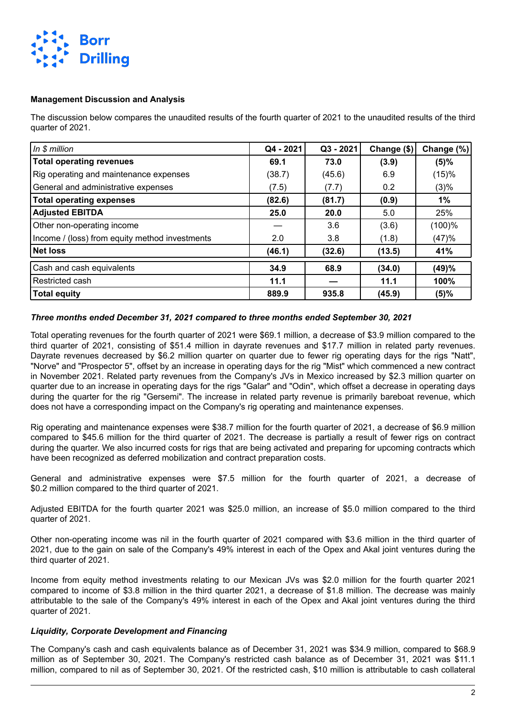

#### **Management Discussion and Analysis**

The discussion below compares the unaudited results of the fourth quarter of 2021 to the unaudited results of the third quarter of 2021.

| In \$ million                                  | Q4 - 2021 | Q3 - 2021 | Change (\$) | Change (%) |
|------------------------------------------------|-----------|-----------|-------------|------------|
| <b>Total operating revenues</b>                | 69.1      | 73.0      | (3.9)       | $(5)\%$    |
| Rig operating and maintenance expenses         | (38.7)    | (45.6)    | 6.9         | (15)%      |
| General and administrative expenses            | (7.5)     | (7.7)     | 0.2         | $(3)\%$    |
| <b>Total operating expenses</b>                | (82.6)    | (81.7)    | (0.9)       | 1%         |
| <b>Adjusted EBITDA</b>                         | 25.0      | 20.0      | 5.0         | 25%        |
| Other non-operating income                     |           | 3.6       | (3.6)       | (100)%     |
| Income / (loss) from equity method investments | 2.0       | 3.8       | (1.8)       | (47)%      |
| <b>Net loss</b>                                | (46.1)    | (32.6)    | (13.5)      | 41%        |
| Cash and cash equivalents                      | 34.9      | 68.9      | (34.0)      | (49)%      |
| Restricted cash                                | 11.1      |           | 11.1        | 100%       |
| <b>Total equity</b>                            | 889.9     | 935.8     | (45.9)      | (5)%       |

#### *Three months ended December 31, 2021 compared to three months ended September 30, 2021*

Total operating revenues for the fourth quarter of 2021 were \$69.1 million, a decrease of \$3.9 million compared to the third quarter of 2021, consisting of \$51.4 million in dayrate revenues and \$17.7 million in related party revenues. Dayrate revenues decreased by \$6.2 million quarter on quarter due to fewer rig operating days for the rigs "Natt", "Norve" and "Prospector 5", offset by an increase in operating days for the rig "Mist" which commenced a new contract in November 2021. Related party revenues from the Company's JVs in Mexico increased by \$2.3 million quarter on quarter due to an increase in operating days for the rigs "Galar" and "Odin", which offset a decrease in operating days during the quarter for the rig "Gersemi". The increase in related party revenue is primarily bareboat revenue, which does not have a corresponding impact on the Company's rig operating and maintenance expenses.

Rig operating and maintenance expenses were \$38.7 million for the fourth quarter of 2021, a decrease of \$6.9 million compared to \$45.6 million for the third quarter of 2021. The decrease is partially a result of fewer rigs on contract during the quarter. We also incurred costs for rigs that are being activated and preparing for upcoming contracts which have been recognized as deferred mobilization and contract preparation costs.

General and administrative expenses were \$7.5 million for the fourth quarter of 2021, a decrease of \$0.2 million compared to the third quarter of 2021.

Adjusted EBITDA for the fourth quarter 2021 was \$25.0 million, an increase of \$5.0 million compared to the third quarter of 2021.

Other non-operating income was nil in the fourth quarter of 2021 compared with \$3.6 million in the third quarter of 2021, due to the gain on sale of the Company's 49% interest in each of the Opex and Akal joint ventures during the third quarter of 2021.

Income from equity method investments relating to our Mexican JVs was \$2.0 million for the fourth quarter 2021 compared to income of \$3.8 million in the third quarter 2021, a decrease of \$1.8 million. The decrease was mainly attributable to the sale of the Company's 49% interest in each of the Opex and Akal joint ventures during the third quarter of 2021.

#### *Liquidity, Corporate Development and Financing*

The Company's cash and cash equivalents balance as of December 31, 2021 was \$34.9 million, compared to \$68.9 million as of September 30, 2021. The Company's restricted cash balance as of December 31, 2021 was \$11.1 million, compared to nil as of September 30, 2021. Of the restricted cash, \$10 million is attributable to cash collateral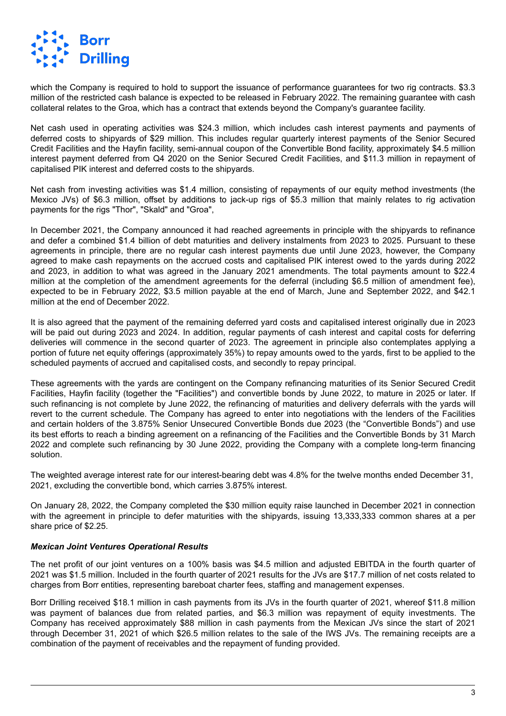

which the Company is required to hold to support the issuance of performance guarantees for two rig contracts. \$3.3 million of the restricted cash balance is expected to be released in February 2022. The remaining guarantee with cash collateral relates to the Groa, which has a contract that extends beyond the Company's guarantee facility.

Net cash used in operating activities was \$24.3 million, which includes cash interest payments and payments of deferred costs to shipyards of \$29 million. This includes regular quarterly interest payments of the Senior Secured Credit Facilities and the Hayfin facility, semi-annual coupon of the Convertible Bond facility, approximately \$4.5 million interest payment deferred from Q4 2020 on the Senior Secured Credit Facilities, and \$11.3 million in repayment of capitalised PIK interest and deferred costs to the shipyards.

Net cash from investing activities was \$1.4 million, consisting of repayments of our equity method investments (the Mexico JVs) of \$6.3 million, offset by additions to jack-up rigs of \$5.3 million that mainly relates to rig activation payments for the rigs "Thor", "Skald" and "Groa",

In December 2021, the Company announced it had reached agreements in principle with the shipyards to refinance and defer a combined \$1.4 billion of debt maturities and delivery instalments from 2023 to 2025. Pursuant to these agreements in principle, there are no regular cash interest payments due until June 2023, however, the Company agreed to make cash repayments on the accrued costs and capitalised PIK interest owed to the yards during 2022 and 2023, in addition to what was agreed in the January 2021 amendments. The total payments amount to \$22.4 million at the completion of the amendment agreements for the deferral (including \$6.5 million of amendment fee), expected to be in February 2022, \$3.5 million payable at the end of March, June and September 2022, and \$42.1 million at the end of December 2022.

It is also agreed that the payment of the remaining deferred yard costs and capitalised interest originally due in 2023 will be paid out during 2023 and 2024. In addition, regular payments of cash interest and capital costs for deferring deliveries will commence in the second quarter of 2023. The agreement in principle also contemplates applying a portion of future net equity offerings (approximately 35%) to repay amounts owed to the yards, first to be applied to the scheduled payments of accrued and capitalised costs, and secondly to repay principal.

These agreements with the yards are contingent on the Company refinancing maturities of its Senior Secured Credit Facilities, Hayfin facility (together the "Facilities") and convertible bonds by June 2022, to mature in 2025 or later. If such refinancing is not complete by June 2022, the refinancing of maturities and delivery deferrals with the yards will revert to the current schedule. The Company has agreed to enter into negotiations with the lenders of the Facilities and certain holders of the 3.875% Senior Unsecured Convertible Bonds due 2023 (the "Convertible Bonds") and use its best efforts to reach a binding agreement on a refinancing of the Facilities and the Convertible Bonds by 31 March 2022 and complete such refinancing by 30 June 2022, providing the Company with a complete long-term financing solution.

The weighted average interest rate for our interest-bearing debt was 4.8% for the twelve months ended December 31, 2021, excluding the convertible bond, which carries 3.875% interest.

On January 28, 2022, the Company completed the \$30 million equity raise launched in December 2021 in connection with the agreement in principle to defer maturities with the shipyards, issuing 13,333,333 common shares at a per share price of \$2.25.

#### *Mexican Joint Ventures Operational Results*

The net profit of our joint ventures on a 100% basis was \$4.5 million and adjusted EBITDA in the fourth quarter of 2021 was \$1.5 million. Included in the fourth quarter of 2021 results for the JVs are \$17.7 million of net costs related to charges from Borr entities, representing bareboat charter fees, staffing and management expenses.

Borr Drilling received \$18.1 million in cash payments from its JVs in the fourth quarter of 2021, whereof \$11.8 million was payment of balances due from related parties, and \$6.3 million was repayment of equity investments. The Company has received approximately \$88 million in cash payments from the Mexican JVs since the start of 2021 through December 31, 2021 of which \$26.5 million relates to the sale of the IWS JVs. The remaining receipts are a combination of the payment of receivables and the repayment of funding provided.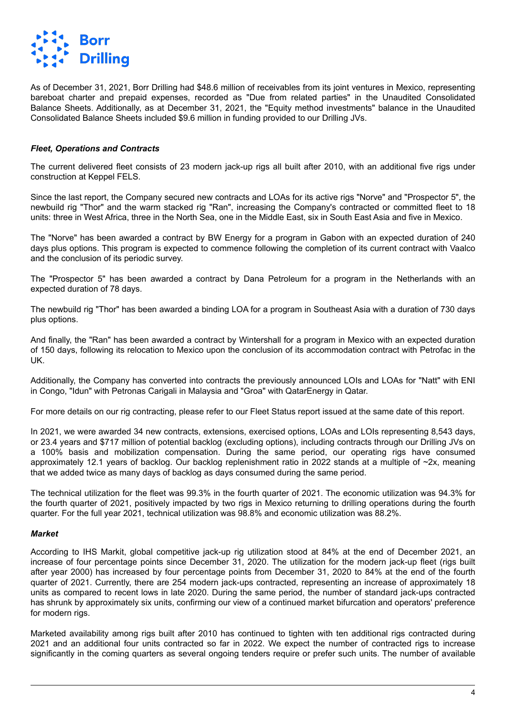

As of December 31, 2021, Borr Drilling had \$48.6 million of receivables from its joint ventures in Mexico, representing bareboat charter and prepaid expenses, recorded as "Due from related parties" in the Unaudited Consolidated Balance Sheets. Additionally, as at December 31, 2021, the "Equity method investments" balance in the Unaudited Consolidated Balance Sheets included \$9.6 million in funding provided to our Drilling JVs.

#### *Fleet, Operations and Contracts*

The current delivered fleet consists of 23 modern jack-up rigs all built after 2010, with an additional five rigs under construction at Keppel FELS.

Since the last report, the Company secured new contracts and LOAs for its active rigs "Norve" and "Prospector 5", the newbuild rig "Thor" and the warm stacked rig "Ran", increasing the Company's contracted or committed fleet to 18 units: three in West Africa, three in the North Sea, one in the Middle East, six in South East Asia and five in Mexico.

The "Norve" has been awarded a contract by BW Energy for a program in Gabon with an expected duration of 240 days plus options. This program is expected to commence following the completion of its current contract with Vaalco and the conclusion of its periodic survey.

The "Prospector 5" has been awarded a contract by Dana Petroleum for a program in the Netherlands with an expected duration of 78 days.

The newbuild rig "Thor" has been awarded a binding LOA for a program in Southeast Asia with a duration of 730 days plus options.

And finally, the "Ran" has been awarded a contract by Wintershall for a program in Mexico with an expected duration of 150 days, following its relocation to Mexico upon the conclusion of its accommodation contract with Petrofac in the UK.

Additionally, the Company has converted into contracts the previously announced LOIs and LOAs for "Natt" with ENI in Congo, "Idun" with Petronas Carigali in Malaysia and "Groa" with QatarEnergy in Qatar.

For more details on our rig contracting, please refer to our Fleet Status report issued at the same date of this report.

In 2021, we were awarded 34 new contracts, extensions, exercised options, LOAs and LOIs representing 8,543 days, or 23.4 years and \$717 million of potential backlog (excluding options), including contracts through our Drilling JVs on a 100% basis and mobilization compensation. During the same period, our operating rigs have consumed approximately 12.1 years of backlog. Our backlog replenishment ratio in 2022 stands at a multiple of ~2x, meaning that we added twice as many days of backlog as days consumed during the same period.

The technical utilization for the fleet was 99.3% in the fourth quarter of 2021. The economic utilization was 94.3% for the fourth quarter of 2021, positively impacted by two rigs in Mexico returning to drilling operations during the fourth quarter. For the full year 2021, technical utilization was 98.8% and economic utilization was 88.2%.

#### *Market*

According to IHS Markit, global competitive jack-up rig utilization stood at 84% at the end of December 2021, an increase of four percentage points since December 31, 2020. The utilization for the modern jack-up fleet (rigs built after year 2000) has increased by four percentage points from December 31, 2020 to 84% at the end of the fourth quarter of 2021. Currently, there are 254 modern jack-ups contracted, representing an increase of approximately 18 units as compared to recent lows in late 2020. During the same period, the number of standard jack-ups contracted has shrunk by approximately six units, confirming our view of a continued market bifurcation and operators' preference for modern rigs.

Marketed availability among rigs built after 2010 has continued to tighten with ten additional rigs contracted during 2021 and an additional four units contracted so far in 2022. We expect the number of contracted rigs to increase significantly in the coming quarters as several ongoing tenders require or prefer such units. The number of available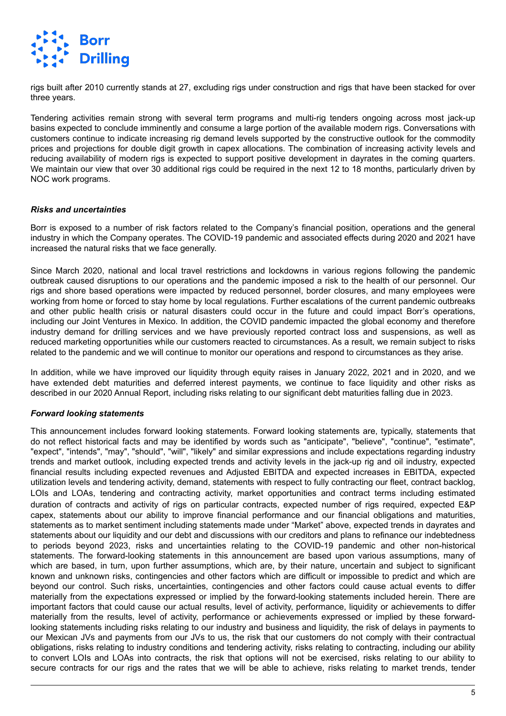

rigs built after 2010 currently stands at 27, excluding rigs under construction and rigs that have been stacked for over three years.

Tendering activities remain strong with several term programs and multi-rig tenders ongoing across most jack-up basins expected to conclude imminently and consume a large portion of the available modern rigs. Conversations with customers continue to indicate increasing rig demand levels supported by the constructive outlook for the commodity prices and projections for double digit growth in capex allocations. The combination of increasing activity levels and reducing availability of modern rigs is expected to support positive development in dayrates in the coming quarters. We maintain our view that over 30 additional rigs could be required in the next 12 to 18 months, particularly driven by NOC work programs.

#### *Risks and uncertainties*

Borr is exposed to a number of risk factors related to the Company's financial position, operations and the general industry in which the Company operates. The COVID-19 pandemic and associated effects during 2020 and 2021 have increased the natural risks that we face generally.

Since March 2020, national and local travel restrictions and lockdowns in various regions following the pandemic outbreak caused disruptions to our operations and the pandemic imposed a risk to the health of our personnel. Our rigs and shore based operations were impacted by reduced personnel, border closures, and many employees were working from home or forced to stay home by local regulations. Further escalations of the current pandemic outbreaks and other public health crisis or natural disasters could occur in the future and could impact Borr's operations, including our Joint Ventures in Mexico. In addition, the COVID pandemic impacted the global economy and therefore industry demand for drilling services and we have previously reported contract loss and suspensions, as well as reduced marketing opportunities while our customers reacted to circumstances. As a result, we remain subject to risks related to the pandemic and we will continue to monitor our operations and respond to circumstances as they arise.

In addition, while we have improved our liquidity through equity raises in January 2022, 2021 and in 2020, and we have extended debt maturities and deferred interest payments, we continue to face liquidity and other risks as described in our 2020 Annual Report, including risks relating to our significant debt maturities falling due in 2023.

#### *Forward looking statements*

This announcement includes forward looking statements. Forward looking statements are, typically, statements that do not reflect historical facts and may be identified by words such as "anticipate", "believe", "continue", "estimate", "expect", "intends", "may", "should", "will", "likely" and similar expressions and include expectations regarding industry trends and market outlook, including expected trends and activity levels in the jack-up rig and oil industry, expected financial results including expected revenues and Adjusted EBITDA and expected increases in EBITDA, expected utilization levels and tendering activity, demand, statements with respect to fully contracting our fleet, contract backlog, LOIs and LOAs, tendering and contracting activity, market opportunities and contract terms including estimated duration of contracts and activity of rigs on particular contracts, expected number of rigs required, expected E&P capex, statements about our ability to improve financial performance and our financial obligations and maturities, statements as to market sentiment including statements made under "Market" above, expected trends in dayrates and statements about our liquidity and our debt and discussions with our creditors and plans to refinance our indebtedness to periods beyond 2023, risks and uncertainties relating to the COVID-19 pandemic and other non-historical statements. The forward-looking statements in this announcement are based upon various assumptions, many of which are based, in turn, upon further assumptions, which are, by their nature, uncertain and subject to significant known and unknown risks, contingencies and other factors which are difficult or impossible to predict and which are beyond our control. Such risks, uncertainties, contingencies and other factors could cause actual events to differ materially from the expectations expressed or implied by the forward-looking statements included herein. There are important factors that could cause our actual results, level of activity, performance, liquidity or achievements to differ materially from the results, level of activity, performance or achievements expressed or implied by these forwardlooking statements including risks relating to our industry and business and liquidity, the risk of delays in payments to our Mexican JVs and payments from our JVs to us, the risk that our customers do not comply with their contractual obligations, risks relating to industry conditions and tendering activity, risks relating to contracting, including our ability to convert LOIs and LOAs into contracts, the risk that options will not be exercised, risks relating to our ability to secure contracts for our rigs and the rates that we will be able to achieve, risks relating to market trends, tender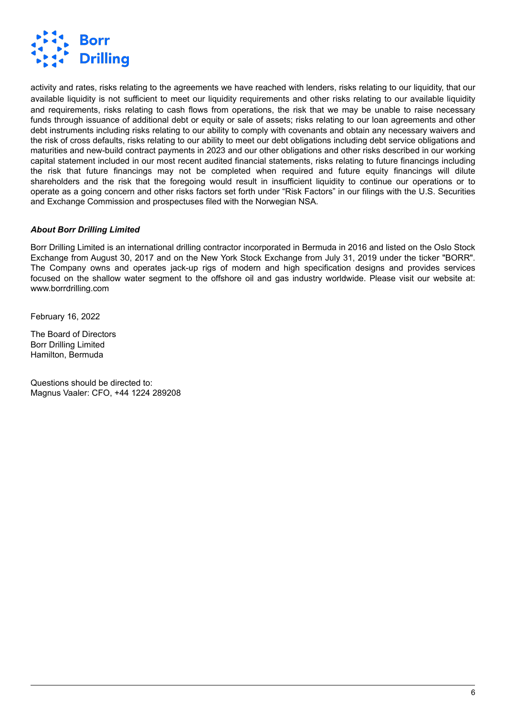

activity and rates, risks relating to the agreements we have reached with lenders, risks relating to our liquidity, that our available liquidity is not sufficient to meet our liquidity requirements and other risks relating to our available liquidity and requirements, risks relating to cash flows from operations, the risk that we may be unable to raise necessary funds through issuance of additional debt or equity or sale of assets; risks relating to our loan agreements and other debt instruments including risks relating to our ability to comply with covenants and obtain any necessary waivers and the risk of cross defaults, risks relating to our ability to meet our debt obligations including debt service obligations and maturities and new-build contract payments in 2023 and our other obligations and other risks described in our working capital statement included in our most recent audited financial statements, risks relating to future financings including the risk that future financings may not be completed when required and future equity financings will dilute shareholders and the risk that the foregoing would result in insufficient liquidity to continue our operations or to operate as a going concern and other risks factors set forth under "Risk Factors" in our filings with the U.S. Securities and Exchange Commission and prospectuses filed with the Norwegian NSA.

### *About Borr Drilling Limited*

Borr Drilling Limited is an international drilling contractor incorporated in Bermuda in 2016 and listed on the Oslo Stock Exchange from August 30, 2017 and on the New York Stock Exchange from July 31, 2019 under the ticker "BORR". The Company owns and operates jack-up rigs of modern and high specification designs and provides services focused on the shallow water segment to the offshore oil and gas industry worldwide. Please visit our website at: www.borrdrilling.com

February 16, 2022

The Board of Directors Borr Drilling Limited Hamilton, Bermuda

Questions should be directed to: Magnus Vaaler: CFO, +44 1224 289208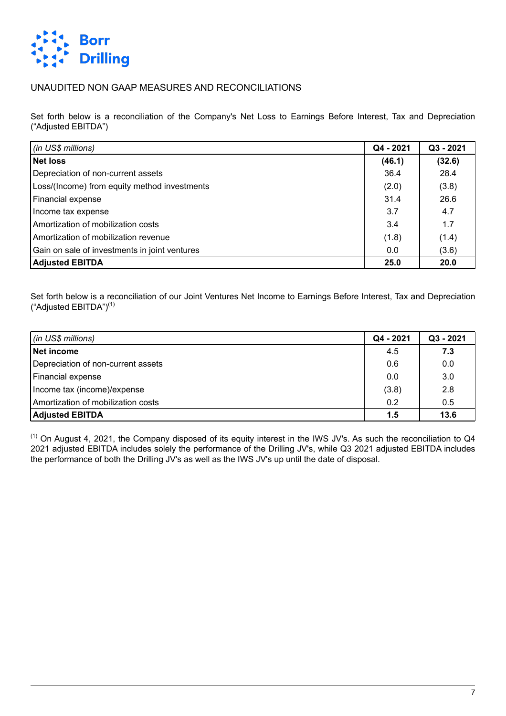

## UNAUDITED NON GAAP MEASURES AND RECONCILIATIONS

Set forth below is a reconciliation of the Company's Net Loss to Earnings Before Interest, Tax and Depreciation ("Adjusted EBITDA")

| $\int$ (in US\$ millions)                     | Q4 - 2021 | Q3 - 2021 |
|-----------------------------------------------|-----------|-----------|
| Net loss                                      | (46.1)    | (32.6)    |
| Depreciation of non-current assets            | 36.4      | 28.4      |
| Loss/(Income) from equity method investments  | (2.0)     | (3.8)     |
| Financial expense                             | 31.4      | 26.6      |
| Income tax expense                            | 3.7       | 4.7       |
| Amortization of mobilization costs            | 3.4       | 1.7       |
| Amortization of mobilization revenue          | (1.8)     | (1.4)     |
| Gain on sale of investments in joint ventures | 0.0       | (3.6)     |
| <b>Adjusted EBITDA</b>                        | 25.0      | 20.0      |

Set forth below is a reconciliation of our Joint Ventures Net Income to Earnings Before Interest, Tax and Depreciation ("Adjusted EBITDA")(1)

| $ $ (in US\$ millions)             | Q4 - 2021 | Q3 - 2021 |
|------------------------------------|-----------|-----------|
| Net income                         | 4.5       | 7.3       |
| Depreciation of non-current assets | 0.6       | 0.0       |
| Financial expense                  | 0.0       | 3.0       |
| Income tax (income)/expense        | (3.8)     | 2.8       |
| Amortization of mobilization costs | 0.2       | 0.5       |
| <b>Adjusted EBITDA</b>             | 1.5       | 13.6      |

(1) On August 4, 2021, the Company disposed of its equity interest in the IWS JV's. As such the reconciliation to Q4 2021 adjusted EBITDA includes solely the performance of the Drilling JV's, while Q3 2021 adjusted EBITDA includes the performance of both the Drilling JV's as well as the IWS JV's up until the date of disposal.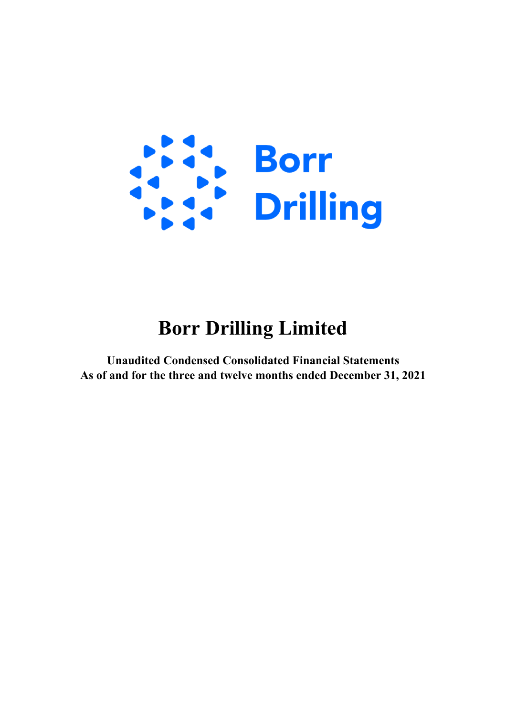

# **Borr Drilling Limited**

**Unaudited Condensed Consolidated Financial Statements As of and for the three and twelve months ended December 31, 2021**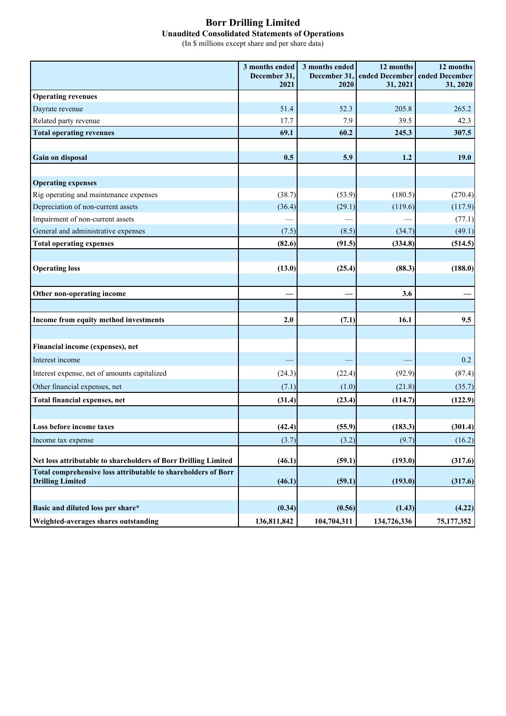## **Borr Drilling Limited Unaudited Consolidated Statements of Operations**

(In \$ millions except share and per share data)

|                                                                | 3 months ended<br>December 31, | 3 months ended<br>December 31 | 12 months<br>ended December | 12 months<br>ended December |
|----------------------------------------------------------------|--------------------------------|-------------------------------|-----------------------------|-----------------------------|
|                                                                | 2021                           | 2020                          | 31, 2021                    | 31, 2020                    |
| <b>Operating revenues</b>                                      |                                |                               |                             |                             |
| Dayrate revenue                                                | 51.4                           | 52.3                          | 205.8                       | 265.2                       |
| Related party revenue                                          | 17.7                           | 7.9                           | 39.5                        | 42.3                        |
| <b>Total operating revenues</b>                                | 69.1                           | 60.2                          | 245.3                       | 307.5                       |
|                                                                |                                |                               |                             |                             |
| Gain on disposal                                               | 0.5                            | 5.9                           | 1.2                         | 19.0                        |
|                                                                |                                |                               |                             |                             |
| <b>Operating expenses</b>                                      |                                |                               |                             |                             |
| Rig operating and maintenance expenses                         | (38.7)                         | (53.9)                        | (180.5)                     | (270.4)                     |
| Depreciation of non-current assets                             | (36.4)                         | (29.1)                        | (119.6)                     | (117.9)                     |
| Impairment of non-current assets                               |                                |                               |                             | (77.1)                      |
| General and administrative expenses                            | (7.5)                          | (8.5)                         | (34.7)                      | (49.1)                      |
| <b>Total operating expenses</b>                                | (82.6)                         | (91.5)                        | (334.8)                     | (514.5)                     |
|                                                                |                                |                               |                             |                             |
| <b>Operating loss</b>                                          | (13.0)                         | (25.4)                        | (88.3)                      | (188.0)                     |
|                                                                |                                |                               |                             |                             |
| Other non-operating income                                     |                                |                               | 3.6                         |                             |
|                                                                |                                |                               |                             |                             |
| Income from equity method investments                          | 2.0                            | (7.1)                         | 16.1                        | 9.5                         |
|                                                                |                                |                               |                             |                             |
| Financial income (expenses), net                               |                                |                               |                             |                             |
| Interest income                                                |                                |                               |                             | 0.2                         |
| Interest expense, net of amounts capitalized                   | (24.3)                         | (22.4)                        | (92.9)                      | (87.4)                      |
| Other financial expenses, net                                  | (7.1)                          | (1.0)                         | (21.8)                      | (35.7)                      |
| <b>Total financial expenses, net</b>                           | (31.4)                         | (23.4)                        | (114.7)                     | (122.9)                     |
|                                                                |                                |                               |                             |                             |
| Loss before income taxes                                       | (42.4)                         | (55.9)                        | (183.3)                     | (301.4)                     |
| Income tax expense                                             | (3.7)                          | (3.2)                         | (9.7)                       | (16.2)                      |
| Net loss attributable to shareholders of Borr Drilling Limited | (46.1)                         | (59.1)                        | (193.0)                     | (317.6)                     |
| Total comprehensive loss attributable to shareholders of Borr  |                                |                               |                             |                             |
| <b>Drilling Limited</b>                                        | (46.1)                         | (59.1)                        | (193.0)                     | (317.6)                     |
|                                                                |                                |                               |                             |                             |
| Basic and diluted loss per share*                              | (0.34)                         | (0.56)                        | (1.43)                      | (4.22)                      |
| Weighted-averages shares outstanding                           | 136,811,842                    | 104,704,311                   | 134,726,336                 | 75, 177, 352                |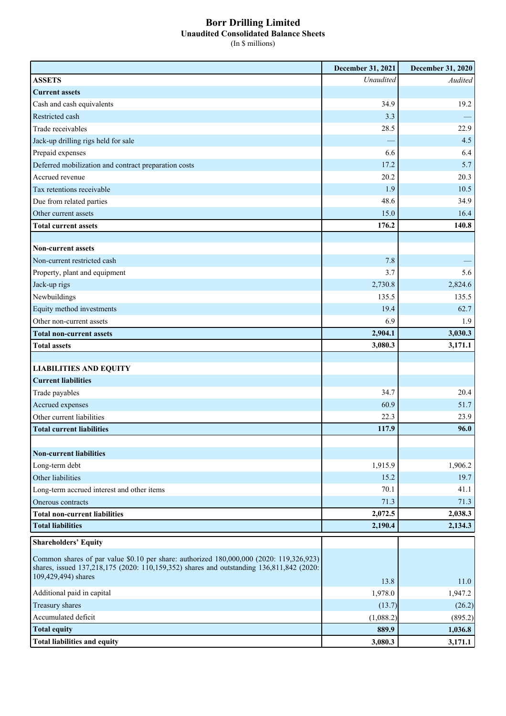#### **Borr Drilling Limited Unaudited Consolidated Balance Sheets** (In \$ millions)

|                                                                                                                                                                                                            | December 31, 2021 | December 31, 2020  |
|------------------------------------------------------------------------------------------------------------------------------------------------------------------------------------------------------------|-------------------|--------------------|
| <b>ASSETS</b>                                                                                                                                                                                              | Unaudited         | Audited            |
| <b>Current assets</b>                                                                                                                                                                                      |                   |                    |
| Cash and cash equivalents                                                                                                                                                                                  | 34.9              | 19.2               |
| Restricted cash                                                                                                                                                                                            | 3.3               |                    |
| Trade receivables                                                                                                                                                                                          | 28.5              | 22.9               |
| Jack-up drilling rigs held for sale                                                                                                                                                                        |                   | 4.5                |
| Prepaid expenses                                                                                                                                                                                           | 6.6               | 6.4                |
| Deferred mobilization and contract preparation costs                                                                                                                                                       | 17.2              | 5.7                |
| Accrued revenue                                                                                                                                                                                            | 20.2              | 20.3               |
| Tax retentions receivable                                                                                                                                                                                  | 1.9               | 10.5               |
| Due from related parties                                                                                                                                                                                   | 48.6              | 34.9               |
| Other current assets                                                                                                                                                                                       | 15.0              | 16.4               |
| <b>Total current assets</b>                                                                                                                                                                                | 176.2             | 140.8              |
|                                                                                                                                                                                                            |                   |                    |
| <b>Non-current assets</b>                                                                                                                                                                                  |                   |                    |
| Non-current restricted cash                                                                                                                                                                                | 7.8               |                    |
| Property, plant and equipment                                                                                                                                                                              | 3.7               | 5.6                |
| Jack-up rigs                                                                                                                                                                                               | 2,730.8           | 2,824.6            |
| Newbuildings                                                                                                                                                                                               | 135.5             | 135.5              |
| Equity method investments                                                                                                                                                                                  | 19.4              | 62.7               |
| Other non-current assets                                                                                                                                                                                   | 6.9               | 1.9                |
| <b>Total non-current assets</b>                                                                                                                                                                            | 2,904.1           | 3,030.3            |
| <b>Total assets</b>                                                                                                                                                                                        | 3,080.3           | 3,171.1            |
|                                                                                                                                                                                                            |                   |                    |
| <b>LIABILITIES AND EQUITY</b>                                                                                                                                                                              |                   |                    |
| <b>Current liabilities</b>                                                                                                                                                                                 |                   |                    |
| Trade payables                                                                                                                                                                                             | 34.7              | 20.4               |
| Accrued expenses                                                                                                                                                                                           | 60.9              | 51.7               |
| Other current liabilities                                                                                                                                                                                  | 22.3              | 23.9               |
| <b>Total current liabilities</b>                                                                                                                                                                           | 117.9             | 96.0               |
|                                                                                                                                                                                                            |                   |                    |
| <b>Non-current liabilities</b>                                                                                                                                                                             |                   |                    |
| Long-term debt                                                                                                                                                                                             | 1,915.9           | 1,906.2            |
| Other liabilities                                                                                                                                                                                          | 15.2              | 19.7               |
| Long-term accrued interest and other items                                                                                                                                                                 | 70.1              | 41.1               |
| Onerous contracts                                                                                                                                                                                          | 71.3<br>2,072.5   | 71.3               |
| <b>Total non-current liabilities</b><br><b>Total liabilities</b>                                                                                                                                           | 2,190.4           | 2,038.3<br>2,134.3 |
|                                                                                                                                                                                                            |                   |                    |
| <b>Shareholders' Equity</b>                                                                                                                                                                                |                   |                    |
| Common shares of par value \$0.10 per share: authorized 180,000,000 (2020: 119,326,923)<br>shares, issued 137,218,175 (2020: 110,159,352) shares and outstanding 136,811,842 (2020:<br>109,429,494) shares |                   |                    |
| Additional paid in capital                                                                                                                                                                                 | 13.8<br>1,978.0   | 11.0<br>1,947.2    |
| Treasury shares                                                                                                                                                                                            |                   |                    |
| Accumulated deficit                                                                                                                                                                                        | (13.7)            | (26.2)             |
| <b>Total equity</b>                                                                                                                                                                                        | (1,088.2)         | (895.2)            |
|                                                                                                                                                                                                            | 889.9             | 1,036.8            |
| <b>Total liabilities and equity</b>                                                                                                                                                                        | 3,080.3           | 3,171.1            |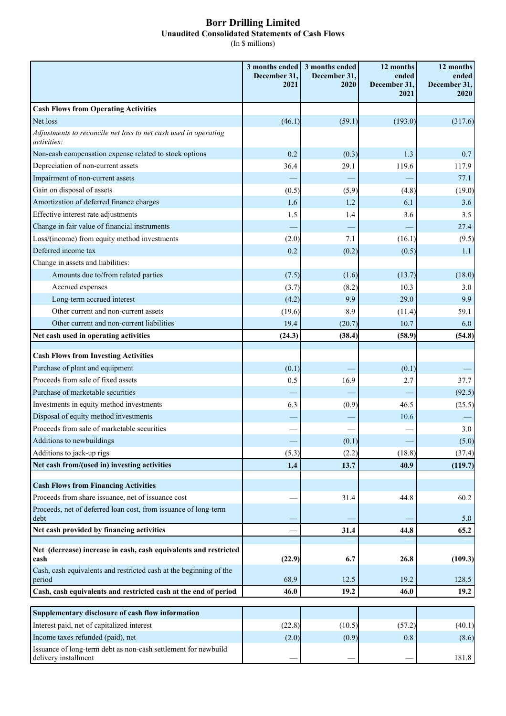## **Borr Drilling Limited Unaudited Consolidated Statements of Cash Flows**

(In \$ millions)

|                                                                                                     | 3 months ended<br>December 31.<br>2021 | 3 months ended<br>December 31,<br>2020 | 12 months<br>ended<br>December 31,<br>2021 | 12 months<br>ended<br>December 31,<br>2020 |
|-----------------------------------------------------------------------------------------------------|----------------------------------------|----------------------------------------|--------------------------------------------|--------------------------------------------|
| <b>Cash Flows from Operating Activities</b>                                                         |                                        |                                        |                                            |                                            |
| Net loss                                                                                            | (46.1)                                 | (59.1)                                 | (193.0)                                    | (317.6)                                    |
| Adjustments to reconcile net loss to net cash used in operating<br>activities:                      |                                        |                                        |                                            |                                            |
| Non-cash compensation expense related to stock options                                              | 0.2                                    | (0.3)                                  | 1.3                                        | 0.7                                        |
| Depreciation of non-current assets                                                                  | 36.4                                   | 29.1                                   | 119.6                                      | 117.9                                      |
| Impairment of non-current assets                                                                    |                                        |                                        |                                            | 77.1                                       |
| Gain on disposal of assets                                                                          | (0.5)                                  | (5.9)                                  | (4.8)                                      | (19.0)                                     |
| Amortization of deferred finance charges                                                            | 1.6                                    | 1.2                                    | 6.1                                        | 3.6                                        |
| Effective interest rate adjustments                                                                 | 1.5                                    | 1.4                                    | 3.6                                        | 3.5                                        |
| Change in fair value of financial instruments                                                       |                                        |                                        |                                            | 27.4                                       |
| Loss/(income) from equity method investments                                                        | (2.0)                                  | 7.1                                    | (16.1)                                     | (9.5)                                      |
| Deferred income tax                                                                                 | 0.2                                    | (0.2)                                  | (0.5)                                      | 1.1                                        |
| Change in assets and liabilities:                                                                   |                                        |                                        |                                            |                                            |
| Amounts due to/from related parties                                                                 | (7.5)                                  | (1.6)                                  | (13.7)                                     | (18.0)                                     |
| Accrued expenses                                                                                    | (3.7)                                  | (8.2)                                  | 10.3                                       | 3.0                                        |
| Long-term accrued interest                                                                          | (4.2)                                  | 9.9                                    | 29.0                                       | 9.9                                        |
| Other current and non-current assets                                                                | (19.6)                                 | 8.9                                    | (11.4)                                     | 59.1                                       |
| Other current and non-current liabilities                                                           | 19.4                                   | (20.7)                                 | 10.7                                       | 6.0                                        |
| Net cash used in operating activities                                                               | (24.3)                                 | (38.4)                                 | (58.9)                                     | (54.8)                                     |
| <b>Cash Flows from Investing Activities</b>                                                         |                                        |                                        |                                            |                                            |
| Purchase of plant and equipment                                                                     | (0.1)                                  |                                        | (0.1)                                      |                                            |
| Proceeds from sale of fixed assets                                                                  | 0.5                                    | 16.9                                   | 2.7                                        | 37.7                                       |
| Purchase of marketable securities                                                                   |                                        |                                        |                                            | (92.5)                                     |
| Investments in equity method investments                                                            | 6.3                                    | (0.9)                                  | 46.5                                       | (25.5)                                     |
| Disposal of equity method investments                                                               |                                        |                                        | 10.6                                       |                                            |
| Proceeds from sale of marketable securities                                                         |                                        |                                        |                                            | 3.0                                        |
| Additions to newbuildings                                                                           |                                        | (0.1)                                  |                                            | (5.0)                                      |
| Additions to jack-up rigs                                                                           | (5.3)                                  | (2.2)                                  | (18.8)                                     | (37.4)                                     |
| Net cash from/(used in) investing activities                                                        | 1.4                                    | 13.7                                   | 40.9                                       | (119.7)                                    |
| <b>Cash Flows from Financing Activities</b>                                                         |                                        |                                        |                                            |                                            |
| Proceeds from share issuance, net of issuance cost                                                  |                                        | 31.4                                   | 44.8                                       | 60.2                                       |
| Proceeds, net of deferred loan cost, from issuance of long-term                                     |                                        |                                        |                                            |                                            |
| debt                                                                                                |                                        |                                        |                                            | 5.0                                        |
| Net cash provided by financing activities                                                           |                                        | 31.4                                   | 44.8                                       | 65.2                                       |
|                                                                                                     |                                        |                                        |                                            |                                            |
| Net (decrease) increase in cash, cash equivalents and restricted<br>cash                            | (22.9)                                 | 6.7                                    | 26.8                                       | (109.3)                                    |
| Cash, cash equivalents and restricted cash at the beginning of the<br>period                        | 68.9                                   | 12.5                                   | 19.2                                       | 128.5                                      |
| Cash, cash equivalents and restricted cash at the end of period                                     | 46.0                                   | 19.2                                   | 46.0                                       | 19.2                                       |
|                                                                                                     |                                        |                                        |                                            |                                            |
| Supplementary disclosure of cash flow information                                                   |                                        |                                        |                                            |                                            |
| Interest paid, net of capitalized interest                                                          | (22.8)                                 | (10.5)                                 | (57.2)                                     | (40.1)                                     |
| Income taxes refunded (paid), net<br>Issuance of long-term debt as non-cash settlement for newbuild | (2.0)                                  | (0.9)                                  | 0.8                                        | (8.6)                                      |
| delivery installment                                                                                |                                        |                                        |                                            | 181.8                                      |